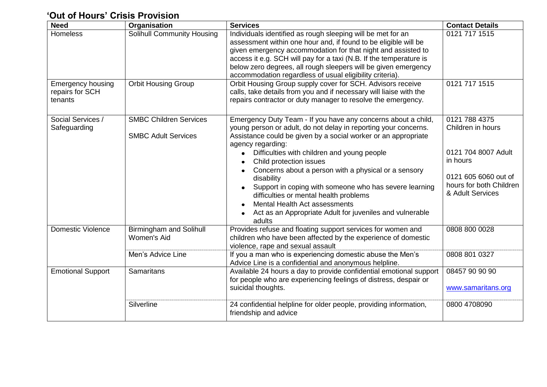## **'Out of Hours' Crisis Provision**

| <b>Need</b>                                            | Organisation                                                | <b>Services</b>                                                                                                                                                                                                                                                                                                                                                                                                                                                                                                                                                                    | <b>Contact Details</b>                                                                                                                       |
|--------------------------------------------------------|-------------------------------------------------------------|------------------------------------------------------------------------------------------------------------------------------------------------------------------------------------------------------------------------------------------------------------------------------------------------------------------------------------------------------------------------------------------------------------------------------------------------------------------------------------------------------------------------------------------------------------------------------------|----------------------------------------------------------------------------------------------------------------------------------------------|
| Homeless                                               | <b>Solihull Community Housing</b>                           | Individuals identified as rough sleeping will be met for an<br>assessment within one hour and, if found to be eligible will be<br>given emergency accommodation for that night and assisted to<br>access it e.g. SCH will pay for a taxi (N.B. If the temperature is<br>below zero degrees, all rough sleepers will be given emergency<br>accommodation regardless of usual eligibility criteria).                                                                                                                                                                                 | 0121 717 1515                                                                                                                                |
| <b>Emergency housing</b><br>repairs for SCH<br>tenants | <b>Orbit Housing Group</b>                                  | Orbit Housing Group supply cover for SCH. Advisors receive<br>calls, take details from you and if necessary will liaise with the<br>repairs contractor or duty manager to resolve the emergency.                                                                                                                                                                                                                                                                                                                                                                                   | 0121 717 1515                                                                                                                                |
| Social Services /<br>Safeguarding                      | <b>SMBC Children Services</b><br><b>SMBC Adult Services</b> | Emergency Duty Team - If you have any concerns about a child,<br>young person or adult, do not delay in reporting your concerns.<br>Assistance could be given by a social worker or an appropriate<br>agency regarding:<br>Difficulties with children and young people<br>Child protection issues<br>Concerns about a person with a physical or a sensory<br>disability<br>Support in coping with someone who has severe learning<br>difficulties or mental health problems<br>Mental Health Act assessments<br>Act as an Appropriate Adult for juveniles and vulnerable<br>adults | 0121 788 4375<br>Children in hours<br>0121 704 8007 Adult<br>in hours<br>0121 605 6060 out of<br>hours for both Children<br>& Adult Services |
| <b>Domestic Violence</b>                               | <b>Birmingham and Solihull</b><br>Women's Aid               | Provides refuse and floating support services for women and<br>children who have been affected by the experience of domestic<br>violence, rape and sexual assault                                                                                                                                                                                                                                                                                                                                                                                                                  | 0808 800 0028                                                                                                                                |
|                                                        | Men's Advice Line                                           | If you a man who is experiencing domestic abuse the Men's<br>Advice Line is a confidential and anonymous helpline.                                                                                                                                                                                                                                                                                                                                                                                                                                                                 | 0808 801 0327                                                                                                                                |
| <b>Emotional Support</b>                               | Samaritans                                                  | Available 24 hours a day to provide confidential emotional support<br>for people who are experiencing feelings of distress, despair or<br>suicidal thoughts.                                                                                                                                                                                                                                                                                                                                                                                                                       | 08457 90 90 90<br>www.samaritans.org                                                                                                         |
|                                                        | Silverline                                                  | 24 confidential helpline for older people, providing information,<br>friendship and advice                                                                                                                                                                                                                                                                                                                                                                                                                                                                                         | 0800 4708090                                                                                                                                 |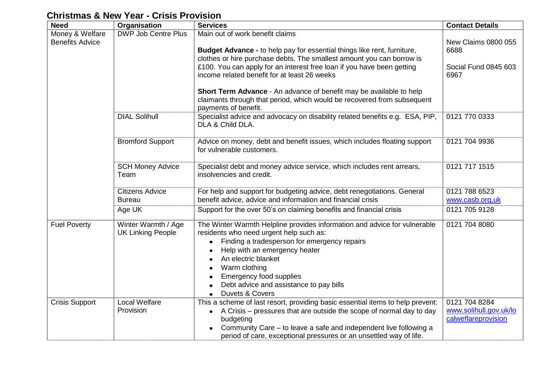## **Christmas & New Year - Crisis Provision**

| <b>Need</b>                               | Organisation                                    | <b>Services</b>                                                                                                                                                                                                                                                                                                                                                                                                                                                                         | <b>Contact Details</b>                                         |
|-------------------------------------------|-------------------------------------------------|-----------------------------------------------------------------------------------------------------------------------------------------------------------------------------------------------------------------------------------------------------------------------------------------------------------------------------------------------------------------------------------------------------------------------------------------------------------------------------------------|----------------------------------------------------------------|
| Money & Welfare<br><b>Benefits Advice</b> | <b>DWP Job Centre Plus</b>                      | Main out of work benefit claims<br>Budget Advance - to help pay for essential things like rent, furniture,<br>clothes or hire purchase debts. The smallest amount you can borrow is<br>£100. You can apply for an interest free loan if you have been getting<br>income related benefit for at least 26 weeks<br>Short Term Advance - An advance of benefit may be available to help<br>claimants through that period, which would be recovered from subsequent<br>payments of benefit. | New Claims 0800 055<br>6688<br>Social Fund 0845 603<br>6967    |
|                                           | <b>DIAL Solihull</b>                            | Specialist advice and advocacy on disability related benefits e.g. ESA, PIP,<br>DLA & Child DLA.                                                                                                                                                                                                                                                                                                                                                                                        | 0121 770 0333                                                  |
|                                           | <b>Bromford Support</b>                         | Advice on money, debt and benefit issues, which includes floating support<br>for vulnerable customers.                                                                                                                                                                                                                                                                                                                                                                                  | 0121 704 9936                                                  |
|                                           | <b>SCH Money Advice</b><br>Team                 | Specialist debt and money advice service, which includes rent arrears,<br>insolvencies and credit.                                                                                                                                                                                                                                                                                                                                                                                      | 0121 717 1515                                                  |
|                                           | <b>Citizens Advice</b><br><b>Bureau</b>         | For help and support for budgeting advice, debt renegotiations. General<br>benefit advice, advice and information and financial crisis                                                                                                                                                                                                                                                                                                                                                  | 0121 788 6523<br>www.casb.org,uk                               |
|                                           | Age UK                                          | Support for the over 50's on claiming benefits and financial crisis                                                                                                                                                                                                                                                                                                                                                                                                                     | 0121 705 9128                                                  |
| <b>Fuel Poverty</b>                       | Winter Warmth / Age<br><b>UK Linking People</b> | The Winter Warmth Helpline provides information and advice for vulnerable<br>residents who need urgent help such as:<br>Finding a tradesperson for emergency repairs<br>$\bullet$<br>Help with an emergency heater<br>An electric blanket<br>Warm clothing<br><b>Emergency food supplies</b><br>Debt advice and assistance to pay bills<br>Duvets & Covers                                                                                                                              | 0121 704 8080                                                  |
| <b>Crisis Support</b>                     | <b>Local Welfare</b><br>Provision               | This a scheme of last resort, providing basic essential items to help prevent:<br>• A Crisis – pressures that are outside the scope of normal day to day<br>budgeting<br>Community Care – to leave a safe and independent live following a<br>period of care, exceptional pressures or an unsettled way of life.                                                                                                                                                                        | 0121 704 8284<br>www.solihull.gov.uk/lo<br>calweflareprovision |